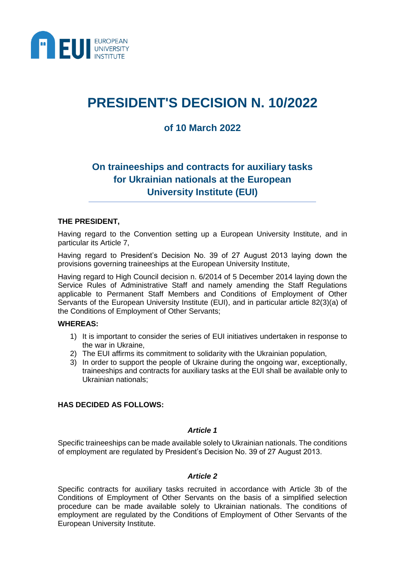

# **PRESIDENT'S DECISION N. 10/2022**

### **of 10 March 2022**

## **On traineeships and contracts for auxiliary tasks for Ukrainian nationals at the European University Institute (EUI)**

#### **THE PRESIDENT,**

Having regard to the Convention setting up a European University Institute, and in particular its Article 7,

Having regard to President's Decision No. 39 of 27 August 2013 laying down the provisions governing traineeships at the European University Institute,

Having regard to High Council decision n. 6/2014 of 5 December 2014 laying down the Service Rules of Administrative Staff and namely amending the Staff Regulations applicable to Permanent Staff Members and Conditions of Employment of Other Servants of the European University Institute (EUI), and in particular article 82(3)(a) of the Conditions of Employment of Other Servants;

#### **WHEREAS:**

- 1) It is important to consider the series of EUI initiatives undertaken in response to the war in Ukraine,
- 2) The EUI affirms its commitment to solidarity with the Ukrainian population,
- 3) In order to support the people of Ukraine during the ongoing war, exceptionally, traineeships and contracts for auxiliary tasks at the EUI shall be available only to Ukrainian nationals;

#### **HAS DECIDED AS FOLLOWS:**

#### *Article 1*

Specific traineeships can be made available solely to Ukrainian nationals. The conditions of employment are regulated by President's Decision No. 39 of 27 August 2013.

#### *Article 2*

Specific contracts for auxiliary tasks recruited in accordance with Article 3b of the Conditions of Employment of Other Servants on the basis of a simplified selection procedure can be made available solely to Ukrainian nationals. The conditions of employment are regulated by the Conditions of Employment of Other Servants of the European University Institute.